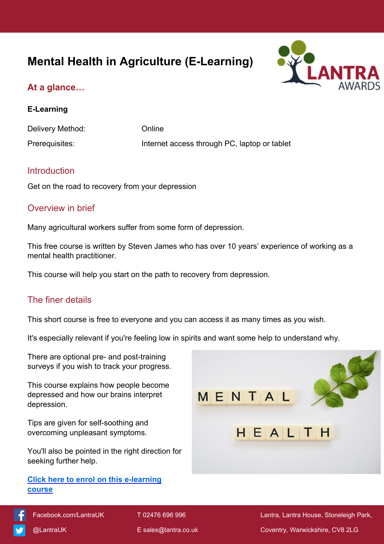# **Mental Health in Agriculture (E-Learning)**



## **At a glance…**

#### **E-Learning**

Delivery Method: Conline Prerequisites: Internet access through PC, laptop or tablet

## **Introduction**

Get on the road to recovery from your depression

## Overview in brief

Many agricultural workers suffer from some form of depression.

This free course is written by Steven James who has over 10 years' experience of working as a mental health practitioner.

This course will help you start on the path to recovery from depression.

## The finer details

This short course is free to everyone and you can access it as many times as you wish.

It's especially relevant if you're feeling low in spirits and want some help to understand why.

There are optional pre- and post-training surveys if you wish to track your progress.

This course explains how people become depressed and how our brains interpret depression.

Tips are given for self-soothing and overcoming unpleasant symptoms.

You'll also be pointed in the right direction for seeking further help.

#### **[Click here to enrol on this e-learning](https://elearning.lantra.co.uk/search/51)  [course](https://elearning.lantra.co.uk/search/51)**



 [Facebook.com/LantraUK](https://www.facebook.com/LantraUK/) T 02476 696 996 Lantra, Lantra House, Stoneleigh Park, [@LantraUK](http://www.twitter.com/lantrauk) E [sales@lantra.co.uk](mailto:sales@lantra.co.uk) Coventry, Warwickshire, CV8 2LG